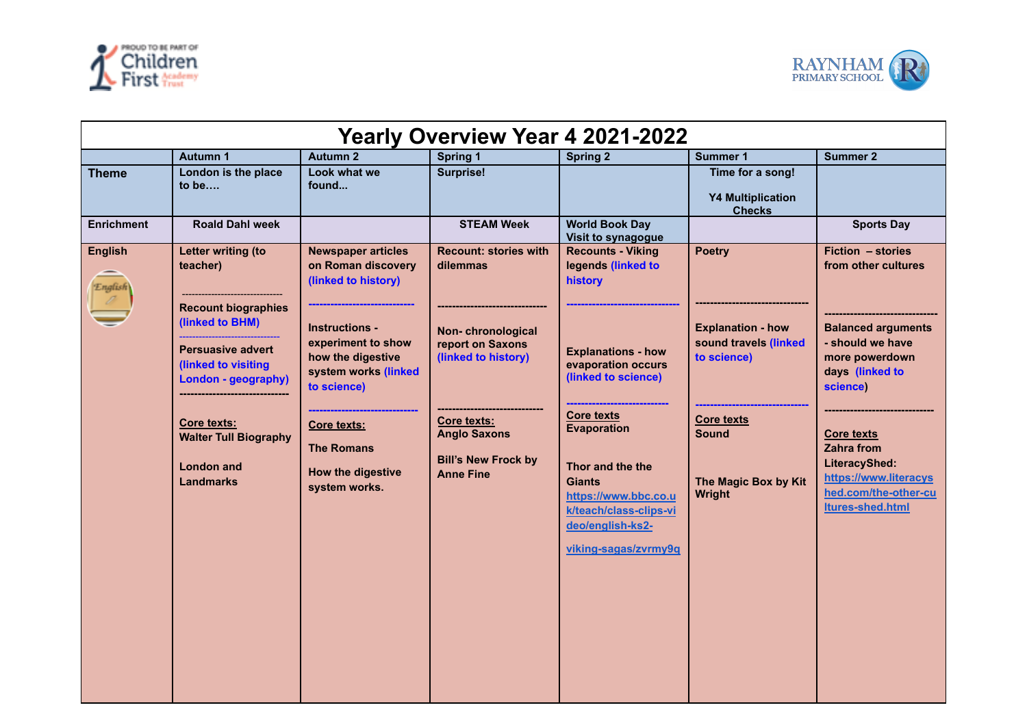



| Yearly Overview Year 4 2021-2022 |                                                                                                                                                                                                                                                          |                                                                                                                                                                                                                                                                    |                                                                                                                                                                                                  |                                                                                                                                                                                                                                                                                                                   |                                                                                                                                                          |                                                                                                                                                                                                                                                                            |  |
|----------------------------------|----------------------------------------------------------------------------------------------------------------------------------------------------------------------------------------------------------------------------------------------------------|--------------------------------------------------------------------------------------------------------------------------------------------------------------------------------------------------------------------------------------------------------------------|--------------------------------------------------------------------------------------------------------------------------------------------------------------------------------------------------|-------------------------------------------------------------------------------------------------------------------------------------------------------------------------------------------------------------------------------------------------------------------------------------------------------------------|----------------------------------------------------------------------------------------------------------------------------------------------------------|----------------------------------------------------------------------------------------------------------------------------------------------------------------------------------------------------------------------------------------------------------------------------|--|
|                                  | <b>Autumn 1</b>                                                                                                                                                                                                                                          | <b>Autumn 2</b>                                                                                                                                                                                                                                                    | <b>Spring 1</b>                                                                                                                                                                                  | <b>Spring 2</b>                                                                                                                                                                                                                                                                                                   | <b>Summer 1</b>                                                                                                                                          | <b>Summer 2</b>                                                                                                                                                                                                                                                            |  |
| <b>Theme</b>                     | London is the place<br>to be                                                                                                                                                                                                                             | Look what we<br>found                                                                                                                                                                                                                                              | <b>Surprise!</b>                                                                                                                                                                                 |                                                                                                                                                                                                                                                                                                                   | Time for a song!<br><b>Y4 Multiplication</b><br><b>Checks</b>                                                                                            |                                                                                                                                                                                                                                                                            |  |
| <b>Enrichment</b>                | <b>Roald Dahl week</b>                                                                                                                                                                                                                                   |                                                                                                                                                                                                                                                                    | <b>STEAM Week</b>                                                                                                                                                                                | <b>World Book Day</b><br>Visit to synagogue                                                                                                                                                                                                                                                                       |                                                                                                                                                          | <b>Sports Day</b>                                                                                                                                                                                                                                                          |  |
| <b>English</b><br>English        | Letter writing (to<br>teacher)<br><b>Recount biographies</b><br>(linked to BHM)<br><b>Persuasive advert</b><br>(linked to visiting<br>London - geography)<br><b>Core texts:</b><br><b>Walter Tull Biography</b><br><b>London and</b><br><b>Landmarks</b> | <b>Newspaper articles</b><br>on Roman discovery<br>(linked to history)<br><b>Instructions -</b><br>experiment to show<br>how the digestive<br>system works (linked<br>to science)<br>Core texts:<br><b>The Romans</b><br><b>How the digestive</b><br>system works. | <b>Recount: stories with</b><br>dilemmas<br>Non-chronological<br>report on Saxons<br>(linked to history)<br>Core texts:<br><b>Anglo Saxons</b><br><b>Bill's New Frock by</b><br><b>Anne Fine</b> | <b>Recounts - Viking</b><br>legends (linked to<br>history<br><b>Explanations - how</b><br>evaporation occurs<br>(linked to science)<br><b>Core texts</b><br><b>Evaporation</b><br>Thor and the the<br><b>Giants</b><br>https://www.bbc.co.u<br>k/teach/class-clips-vi<br>deo/english-ks2-<br>viking-sagas/zvrmy9q | <b>Poetry</b><br><b>Explanation - how</b><br>sound travels (linked<br>to science)<br><b>Core texts</b><br><b>Sound</b><br>The Magic Box by Kit<br>Wright | Fiction - stories<br>from other cultures<br><b>Balanced arguments</b><br>- should we have<br>more powerdown<br>days (linked to<br>science)<br><b>Core texts</b><br><b>Zahra from</b><br>LiteracyShed:<br>https://www.literacys<br>hed.com/the-other-cu<br>Itures-shed.html |  |
|                                  |                                                                                                                                                                                                                                                          |                                                                                                                                                                                                                                                                    |                                                                                                                                                                                                  |                                                                                                                                                                                                                                                                                                                   |                                                                                                                                                          |                                                                                                                                                                                                                                                                            |  |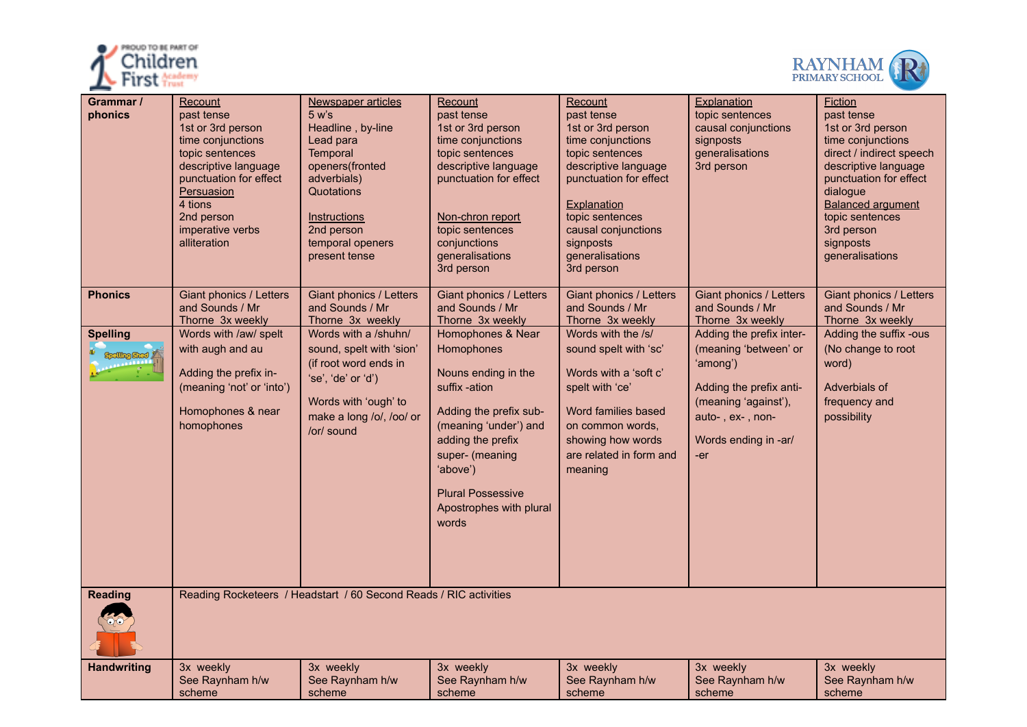



| Grammar /<br>phonics                  | <u>Recount</u><br>past tense<br>1st or 3rd person<br>time conjunctions<br>topic sentences<br>descriptive language<br>punctuation for effect<br><b>Persuasion</b><br>4 tions<br>2nd person<br>imperative verbs<br>alliteration | Newspaper articles<br>$5 w$ 's<br>Headline, by-line<br>Lead para<br>Temporal<br>openers(fronted<br>adverbials)<br>Quotations<br><b>Instructions</b><br>2nd person<br>temporal openers<br>present tense | Recount<br>past tense<br>1st or 3rd person<br>time conjunctions<br>topic sentences<br>descriptive language<br>punctuation for effect<br>Non-chron report<br>topic sentences<br>conjunctions<br>generalisations<br>3rd person                   | Recount<br>past tense<br>1st or 3rd person<br>time conjunctions<br>topic sentences<br>descriptive language<br>punctuation for effect<br>Explanation<br>topic sentences<br>causal conjunctions<br>signposts<br>generalisations<br>3rd person | Explanation<br>topic sentences<br>causal conjunctions<br>signposts<br>generalisations<br>3rd person                                                                 | <b>Fiction</b><br>past tense<br>1st or 3rd person<br>time conjunctions<br>direct / indirect speech<br>descriptive language<br>punctuation for effect<br>dialogue<br><b>Balanced argument</b><br>topic sentences<br>3rd person<br>signposts<br>generalisations |
|---------------------------------------|-------------------------------------------------------------------------------------------------------------------------------------------------------------------------------------------------------------------------------|--------------------------------------------------------------------------------------------------------------------------------------------------------------------------------------------------------|------------------------------------------------------------------------------------------------------------------------------------------------------------------------------------------------------------------------------------------------|---------------------------------------------------------------------------------------------------------------------------------------------------------------------------------------------------------------------------------------------|---------------------------------------------------------------------------------------------------------------------------------------------------------------------|---------------------------------------------------------------------------------------------------------------------------------------------------------------------------------------------------------------------------------------------------------------|
| <b>Phonics</b>                        | Giant phonics / Letters<br>and Sounds / Mr<br>Thorne 3x weekly                                                                                                                                                                | Giant phonics / Letters<br>and Sounds / Mr<br>Thorne 3x weekly                                                                                                                                         | Giant phonics / Letters<br>and Sounds / Mr<br>Thorne 3x weekly                                                                                                                                                                                 | Giant phonics / Letters<br>and Sounds / Mr<br>Thorne 3x weekly                                                                                                                                                                              | Giant phonics / Letters<br>and Sounds / Mr<br>Thorne 3x weekly                                                                                                      | Giant phonics / Letters<br>and Sounds / Mr<br>Thorne 3x weekly                                                                                                                                                                                                |
| <b>Spelling</b><br><b>elling Shed</b> | Words with /aw/ spelt<br>with augh and au<br>Adding the prefix in-<br>(meaning 'not' or 'into')<br>Homophones & near<br>homophones                                                                                            | Words with a /shuhn/<br>sound, spelt with 'sion'<br>(if root word ends in<br>'se', 'de' or 'd')<br>Words with 'ough' to<br>make a long /o/, /oo/ or<br>/or/ sound                                      | Homophones & Near<br>Homophones<br>Nouns ending in the<br>suffix -ation<br>Adding the prefix sub-<br>(meaning 'under') and<br>adding the prefix<br>super- (meaning<br>'above')<br><b>Plural Possessive</b><br>Apostrophes with plural<br>words | Words with the /s/<br>sound spelt with 'sc'<br>Words with a 'soft c'<br>spelt with 'ce'<br>Word families based<br>on common words.<br>showing how words<br>are related in form and<br>meaning                                               | Adding the prefix inter-<br>(meaning 'between' or<br>'among')<br>Adding the prefix anti-<br>(meaning 'against'),<br>auto-, ex-, non-<br>Words ending in -ar/<br>-er | Adding the suffix -ous<br>(No change to root<br>word)<br>Adverbials of<br>frequency and<br>possibility                                                                                                                                                        |
| <b>Reading</b>                        |                                                                                                                                                                                                                               | Reading Rocketeers / Headstart / 60 Second Reads / RIC activities                                                                                                                                      |                                                                                                                                                                                                                                                |                                                                                                                                                                                                                                             |                                                                                                                                                                     |                                                                                                                                                                                                                                                               |
| <b>Handwriting</b>                    | 3x weekly<br>See Raynham h/w<br>scheme                                                                                                                                                                                        | 3x weekly<br>See Raynham h/w<br>scheme                                                                                                                                                                 | 3x weekly<br>See Raynham h/w<br>scheme                                                                                                                                                                                                         | 3x weekly<br>See Raynham h/w<br>scheme                                                                                                                                                                                                      | 3x weekly<br>See Raynham h/w<br>scheme                                                                                                                              | 3x weekly<br>See Raynham h/w<br>scheme                                                                                                                                                                                                                        |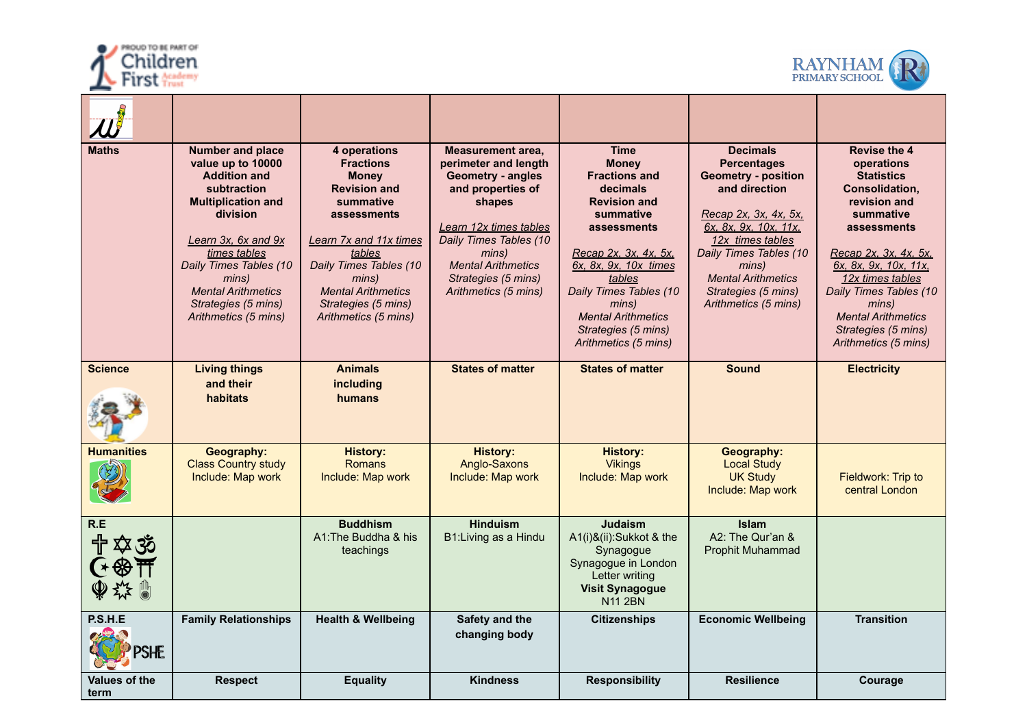



| <b>Maths</b>          | <b>Number and place</b><br>value up to 10000<br><b>Addition and</b><br>subtraction<br><b>Multiplication and</b><br>division<br>Learn 3x, 6x and 9x<br>times tables<br>Daily Times Tables (10<br>mins)<br><b>Mental Arithmetics</b><br>Strategies (5 mins)<br>Arithmetics (5 mins) | 4 operations<br><b>Fractions</b><br><b>Money</b><br><b>Revision and</b><br>summative<br>assessments<br>Learn 7x and 11x times<br>tables<br>Daily Times Tables (10<br>mins)<br><b>Mental Arithmetics</b><br>Strategies (5 mins)<br>Arithmetics (5 mins) | <b>Measurement area,</b><br>perimeter and length<br><b>Geometry - angles</b><br>and properties of<br>shapes<br>Learn 12x times tables<br>Daily Times Tables (10<br>mins)<br><b>Mental Arithmetics</b><br>Strategies (5 mins)<br>Arithmetics (5 mins) | <b>Time</b><br><b>Money</b><br><b>Fractions and</b><br>decimals<br><b>Revision and</b><br>summative<br>assessments<br>Recap 2x, 3x, 4x, 5x,<br>6x, 8x, 9x, 10x times<br>tables<br>Daily Times Tables (10<br>mins)<br><b>Mental Arithmetics</b><br>Strategies (5 mins)<br>Arithmetics (5 mins) | <b>Decimals</b><br><b>Percentages</b><br><b>Geometry - position</b><br>and direction<br>Recap 2x, 3x, 4x, 5x,<br>6x. 8x. 9x. 10x. 11x.<br>12x times tables<br>Daily Times Tables (10<br>mins)<br><b>Mental Arithmetics</b><br>Strategies (5 mins)<br>Arithmetics (5 mins) | <b>Revise the 4</b><br>operations<br><b>Statistics</b><br>Consolidation,<br>revision and<br>summative<br>assessments<br>Recap 2x, 3x, 4x, 5x,<br>6x, 8x, 9x, 10x, 11x,<br>12x times tables<br>Daily Times Tables (10<br>mins)<br><b>Mental Arithmetics</b><br>Strategies (5 mins)<br>Arithmetics (5 mins) |
|-----------------------|-----------------------------------------------------------------------------------------------------------------------------------------------------------------------------------------------------------------------------------------------------------------------------------|--------------------------------------------------------------------------------------------------------------------------------------------------------------------------------------------------------------------------------------------------------|------------------------------------------------------------------------------------------------------------------------------------------------------------------------------------------------------------------------------------------------------|-----------------------------------------------------------------------------------------------------------------------------------------------------------------------------------------------------------------------------------------------------------------------------------------------|---------------------------------------------------------------------------------------------------------------------------------------------------------------------------------------------------------------------------------------------------------------------------|-----------------------------------------------------------------------------------------------------------------------------------------------------------------------------------------------------------------------------------------------------------------------------------------------------------|
| <b>Science</b>        | <b>Living things</b><br>and their<br>habitats                                                                                                                                                                                                                                     | <b>Animals</b><br>including<br>humans                                                                                                                                                                                                                  | <b>States of matter</b>                                                                                                                                                                                                                              | <b>States of matter</b>                                                                                                                                                                                                                                                                       | <b>Sound</b>                                                                                                                                                                                                                                                              | <b>Electricity</b>                                                                                                                                                                                                                                                                                        |
| <b>Humanities</b>     | Geography:<br><b>Class Country study</b><br>Include: Map work                                                                                                                                                                                                                     | <b>History:</b><br><b>Romans</b><br>Include: Map work                                                                                                                                                                                                  | <b>History:</b><br>Anglo-Saxons<br>Include: Map work                                                                                                                                                                                                 | <b>History:</b><br><b>Vikings</b><br>Include: Map work                                                                                                                                                                                                                                        | Geography:<br><b>Local Study</b><br><b>UK Study</b><br>Include: Map work                                                                                                                                                                                                  | Fieldwork: Trip to<br>central London                                                                                                                                                                                                                                                                      |
| R.E<br>中卒的            |                                                                                                                                                                                                                                                                                   | <b>Buddhism</b><br>A1: The Buddha & his<br>teachings                                                                                                                                                                                                   | <b>Hinduism</b><br>B1: Living as a Hindu                                                                                                                                                                                                             | <b>Judaism</b><br>A1(i)&(ii):Sukkot & the<br>Synagogue<br>Synagogue in London<br>Letter writing<br><b>Visit Synagogue</b><br><b>N11 2BN</b>                                                                                                                                                   | <b>Islam</b><br>A2: The Qur'an &<br><b>Prophit Muhammad</b>                                                                                                                                                                                                               |                                                                                                                                                                                                                                                                                                           |
| P.S.H.E<br>SHE        | <b>Family Relationships</b>                                                                                                                                                                                                                                                       | <b>Health &amp; Wellbeing</b>                                                                                                                                                                                                                          | Safety and the<br>changing body                                                                                                                                                                                                                      | <b>Citizenships</b>                                                                                                                                                                                                                                                                           | <b>Economic Wellbeing</b>                                                                                                                                                                                                                                                 | <b>Transition</b>                                                                                                                                                                                                                                                                                         |
| Values of the<br>term | Respect                                                                                                                                                                                                                                                                           | <b>Equality</b>                                                                                                                                                                                                                                        | <b>Kindness</b>                                                                                                                                                                                                                                      | <b>Responsibility</b>                                                                                                                                                                                                                                                                         | <b>Resilience</b>                                                                                                                                                                                                                                                         | Courage                                                                                                                                                                                                                                                                                                   |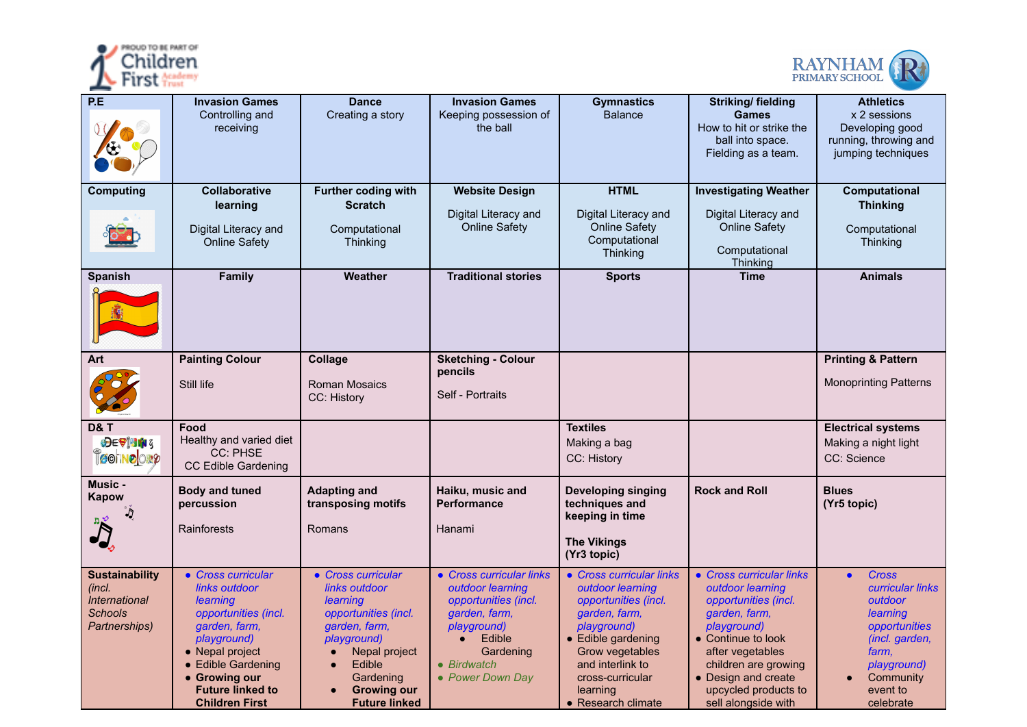



| P.E                                                                                               | <b>Invasion Games</b><br>Controlling and<br>receiving                                                                                                                                                                 | <b>Dance</b><br>Creating a story                                                                                                                                                              | <b>Invasion Games</b><br>Keeping possession of<br>the ball                                                                                                                  | <b>Gymnastics</b><br><b>Balance</b>                                                                                                                                                                                     | <b>Striking/fielding</b><br><b>Games</b><br>How to hit or strike the<br>ball into space.<br>Fielding as a team.                                                                                                                              | <b>Athletics</b><br>x 2 sessions<br>Developing good<br>running, throwing and<br>jumping techniques                                                                           |
|---------------------------------------------------------------------------------------------------|-----------------------------------------------------------------------------------------------------------------------------------------------------------------------------------------------------------------------|-----------------------------------------------------------------------------------------------------------------------------------------------------------------------------------------------|-----------------------------------------------------------------------------------------------------------------------------------------------------------------------------|-------------------------------------------------------------------------------------------------------------------------------------------------------------------------------------------------------------------------|----------------------------------------------------------------------------------------------------------------------------------------------------------------------------------------------------------------------------------------------|------------------------------------------------------------------------------------------------------------------------------------------------------------------------------|
| <b>Computing</b>                                                                                  | <b>Collaborative</b><br>learning<br>Digital Literacy and<br><b>Online Safety</b>                                                                                                                                      | <b>Further coding with</b><br><b>Scratch</b><br>Computational<br>Thinking                                                                                                                     | <b>Website Design</b><br>Digital Literacy and<br><b>Online Safety</b>                                                                                                       | <b>HTML</b><br>Digital Literacy and<br><b>Online Safety</b><br>Computational<br><b>Thinking</b>                                                                                                                         | <b>Investigating Weather</b><br>Digital Literacy and<br><b>Online Safety</b><br>Computational<br>Thinking                                                                                                                                    | Computational<br><b>Thinking</b><br>Computational<br>Thinking                                                                                                                |
| <b>Spanish</b>                                                                                    | Family                                                                                                                                                                                                                | Weather                                                                                                                                                                                       | <b>Traditional stories</b>                                                                                                                                                  | <b>Sports</b>                                                                                                                                                                                                           | <b>Time</b>                                                                                                                                                                                                                                  | <b>Animals</b>                                                                                                                                                               |
| Art                                                                                               | <b>Painting Colour</b><br>Still life                                                                                                                                                                                  | Collage<br><b>Roman Mosaics</b><br>CC: History                                                                                                                                                | <b>Sketching - Colour</b><br>pencils<br>Self - Portraits                                                                                                                    |                                                                                                                                                                                                                         |                                                                                                                                                                                                                                              | <b>Printing &amp; Pattern</b><br><b>Monoprinting Patterns</b>                                                                                                                |
| <b>D&amp;T</b><br>$\bigoplus \in \mathcal{P}[\mathbf{M}]$<br><b>COUND</b> ON&                     | Food<br>Healthy and varied diet<br>CC: PHSE<br><b>CC Edible Gardening</b>                                                                                                                                             |                                                                                                                                                                                               |                                                                                                                                                                             | <b>Textiles</b><br>Making a bag<br>CC: History                                                                                                                                                                          |                                                                                                                                                                                                                                              | <b>Electrical systems</b><br>Making a night light<br>CC: Science                                                                                                             |
| Music -<br><b>Kapow</b>                                                                           | <b>Body and tuned</b><br>percussion<br>Rainforests                                                                                                                                                                    | <b>Adapting and</b><br>transposing motifs<br>Romans                                                                                                                                           | Haiku, music and<br>Performance<br>Hanami                                                                                                                                   | <b>Developing singing</b><br>techniques and<br>keeping in time<br><b>The Vikings</b><br>(Yr3 topic)                                                                                                                     | <b>Rock and Roll</b>                                                                                                                                                                                                                         | <b>Blues</b><br>(Yr5 topic)                                                                                                                                                  |
| <b>Sustainability</b><br>(incl.<br><i><b>International</b></i><br><b>Schools</b><br>Partnerships) | • Cross curricular<br>links outdoor<br>learning<br>opportunities (incl.<br>garden, farm,<br>playground)<br>• Nepal project<br>• Edible Gardening<br>• Growing our<br><b>Future linked to</b><br><b>Children First</b> | • Cross curricular<br>links outdoor<br>learning<br>opportunities (incl.<br>garden, farm,<br>playground)<br>Nepal project<br>Edible<br>Gardening<br><b>Growing our</b><br><b>Future linked</b> | • Cross curricular links<br>outdoor learning<br>opportunities (incl.<br>garden, farm,<br>playground)<br>Edible<br>$\bullet$<br>Gardening<br>• Birdwatch<br>• Power Down Day | • Cross curricular links<br>outdoor learning<br>opportunities (incl.<br>garden, farm,<br>playground)<br>• Edible gardening<br>Grow vegetables<br>and interlink to<br>cross-curricular<br>learning<br>• Research climate | • Cross curricular links<br>outdoor learning<br>opportunities (incl.<br>garden, farm,<br>playground)<br>• Continue to look<br>after vegetables<br>children are growing<br>• Design and create<br>upcycled products to<br>sell alongside with | <b>Cross</b><br>$\bullet$<br><b>curricular links</b><br>outdoor<br>learning<br>opportunities<br>(incl. garden,<br>farm,<br>playground)<br>Community<br>event to<br>celebrate |